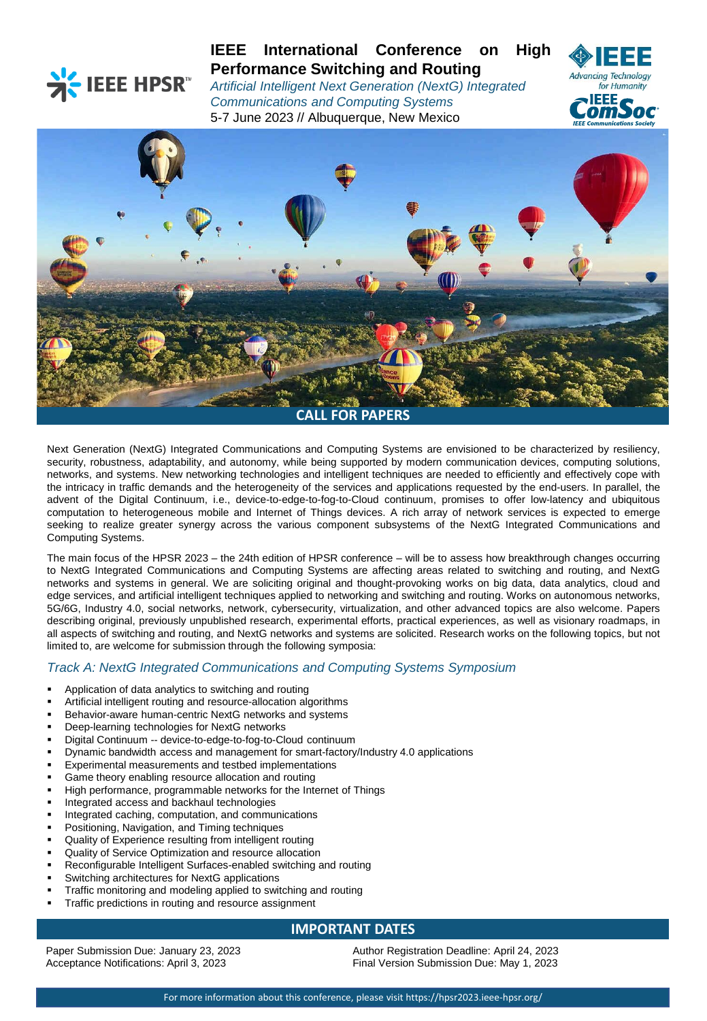

# **IEEE International Conference on High Performance Switching and Routing**

*Artificial Intelligent Next Generation (NextG) Integrated Communications and Computing Systems* 5-7 June 2023 // Albuquerque, New Mexico





Next Generation (NextG) Integrated Communications and Computing Systems are envisioned to be characterized by resiliency, security, robustness, adaptability, and autonomy, while being supported by modern communication devices, computing solutions, networks, and systems. New networking technologies and intelligent techniques are needed to efficiently and effectively cope with the intricacy in traffic demands and the heterogeneity of the services and applications requested by the end-users. In parallel, the advent of the Digital Continuum, i.e., device-to-edge-to-fog-to-Cloud continuum, promises to offer low-latency and ubiquitous computation to heterogeneous mobile and Internet of Things devices. A rich array of network services is expected to emerge seeking to realize greater synergy across the various component subsystems of the NextG Integrated Communications and Computing Systems.

The main focus of the HPSR 2023 – the 24th edition of HPSR conference – will be to assess how breakthrough changes occurring to NextG Integrated Communications and Computing Systems are affecting areas related to switching and routing, and NextG networks and systems in general. We are soliciting original and thought-provoking works on big data, data analytics, cloud and edge services, and artificial intelligent techniques applied to networking and switching and routing. Works on autonomous networks, 5G/6G, Industry 4.0, social networks, network, cybersecurity, virtualization, and other advanced topics are also welcome. Papers describing original, previously unpublished research, experimental efforts, practical experiences, as well as visionary roadmaps, in all aspects of switching and routing, and NextG networks and systems are solicited. Research works on the following topics, but not limited to, are welcome for submission through the following symposia:

# *Track A: NextG Integrated Communications and Computing Systems Symposium*

- Application of data analytics to switching and routing
- Artificial intelligent routing and resource-allocation algorithms
- Behavior-aware human-centric NextG networks and systems
- Deep-learning technologies for NextG networks
- Digital Continuum -- device-to-edge-to-fog-to-Cloud continuum
- Dynamic bandwidth access and management for smart-factory/Industry 4.0 applications
- Experimental measurements and testbed implementations
- Game theory enabling resource allocation and routing
- High performance, programmable networks for the Internet of Things
- Integrated access and backhaul technologies
- Integrated caching, computation, and communications
- Positioning, Navigation, and Timing techniques
- Quality of Experience resulting from intelligent routing
- Quality of Service Optimization and resource allocation
- Reconfigurable Intelligent Surfaces-enabled switching and routing
- Switching architectures for NextG applications
- Traffic monitoring and modeling applied to switching and routing
- Traffic predictions in routing and resource assignment

# **IMPORTANT DATES**

Paper Submission Due: January 23, 2023 Acceptance Notifications: April 3, 2023

Author Registration Deadline: April 24, 2023 Final Version Submission Due: May 1, 2023